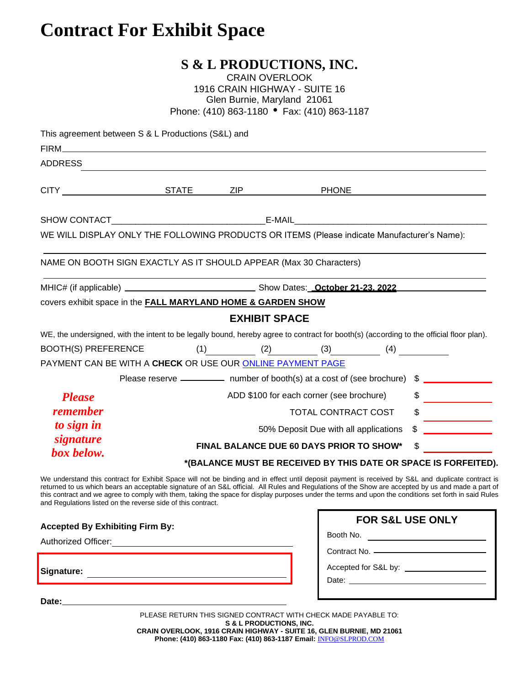# **Contract For Exhibit Space**

## **S & L PRODUCTIONS, INC.**

| <b>CRAIN OVERLOOK</b>                       |
|---------------------------------------------|
| 1916 CRAIN HIGHWAY - SUITE 16               |
| Glen Burnie, Maryland 21061                 |
| Phone: (410) 863-1180 • Fax: (410) 863-1187 |

| This agreement between S & L Productions (S&L) and                                                                                                                                                                                                                                                                                                                                                                                                                                                                                |                                                                                                                          |                                    |                                                                           |                                             |                               |  |
|-----------------------------------------------------------------------------------------------------------------------------------------------------------------------------------------------------------------------------------------------------------------------------------------------------------------------------------------------------------------------------------------------------------------------------------------------------------------------------------------------------------------------------------|--------------------------------------------------------------------------------------------------------------------------|------------------------------------|---------------------------------------------------------------------------|---------------------------------------------|-------------------------------|--|
| FIRM <b>EXECUTIVE EXECUTIVE EXECUTIVE EXECUTIVE EXECUTIVE EXECUTIVE EXECUTIVE EXECUTIVE EXECUTIVE EXECUTIVE EXECUTIVE</b>                                                                                                                                                                                                                                                                                                                                                                                                         |                                                                                                                          |                                    |                                                                           |                                             |                               |  |
| ADDRESS                                                                                                                                                                                                                                                                                                                                                                                                                                                                                                                           |                                                                                                                          |                                    |                                                                           |                                             |                               |  |
| CITY CITY CITY CITY CITY                                                                                                                                                                                                                                                                                                                                                                                                                                                                                                          |                                                                                                                          |                                    |                                                                           |                                             |                               |  |
|                                                                                                                                                                                                                                                                                                                                                                                                                                                                                                                                   |                                                                                                                          |                                    |                                                                           |                                             |                               |  |
| WE WILL DISPLAY ONLY THE FOLLOWING PRODUCTS OR ITEMS (Please indicate Manufacturer's Name):                                                                                                                                                                                                                                                                                                                                                                                                                                       |                                                                                                                          |                                    |                                                                           |                                             |                               |  |
| NAME ON BOOTH SIGN EXACTLY AS IT SHOULD APPEAR (Max 30 Characters)                                                                                                                                                                                                                                                                                                                                                                                                                                                                |                                                                                                                          |                                    |                                                                           |                                             |                               |  |
|                                                                                                                                                                                                                                                                                                                                                                                                                                                                                                                                   |                                                                                                                          |                                    |                                                                           |                                             |                               |  |
| covers exhibit space in the <b>FALL MARYLAND HOME &amp; GARDEN SHOW</b>                                                                                                                                                                                                                                                                                                                                                                                                                                                           |                                                                                                                          |                                    |                                                                           |                                             |                               |  |
|                                                                                                                                                                                                                                                                                                                                                                                                                                                                                                                                   |                                                                                                                          | <b>EXHIBIT SPACE</b>               |                                                                           |                                             |                               |  |
| WE, the undersigned, with the intent to be legally bound, hereby agree to contract for booth(s) (according to the official floor plan).                                                                                                                                                                                                                                                                                                                                                                                           |                                                                                                                          |                                    |                                                                           |                                             |                               |  |
| <b>BOOTH(S) PREFERENCE</b>                                                                                                                                                                                                                                                                                                                                                                                                                                                                                                        |                                                                                                                          |                                    | (1) $(2)$ $(3)$ $(4)$                                                     |                                             |                               |  |
| PAYMENT CAN BE WITH A CHECK OR USE OUR ONLINE PAYMENT PAGE                                                                                                                                                                                                                                                                                                                                                                                                                                                                        |                                                                                                                          |                                    |                                                                           |                                             |                               |  |
|                                                                                                                                                                                                                                                                                                                                                                                                                                                                                                                                   |                                                                                                                          |                                    | Please reserve ________ number of booth(s) at a cost of (see brochure) \$ |                                             |                               |  |
| <b>Please</b>                                                                                                                                                                                                                                                                                                                                                                                                                                                                                                                     |                                                                                                                          |                                    | ADD \$100 for each corner (see brochure)                                  |                                             | \$                            |  |
| <b>remember</b>                                                                                                                                                                                                                                                                                                                                                                                                                                                                                                                   |                                                                                                                          | \$<br>TOTAL CONTRACT COST          |                                                                           |                                             |                               |  |
| to sign in                                                                                                                                                                                                                                                                                                                                                                                                                                                                                                                        | 50% Deposit Due with all applications                                                                                    |                                    |                                                                           |                                             |                               |  |
| signature                                                                                                                                                                                                                                                                                                                                                                                                                                                                                                                         |                                                                                                                          |                                    |                                                                           |                                             |                               |  |
| box below.                                                                                                                                                                                                                                                                                                                                                                                                                                                                                                                        | \$<br><b>FINAL BALANCE DUE 60 DAYS PRIOR TO SHOW*</b><br>*(BALANCE MUST BE RECEIVED BY THIS DATE OR SPACE IS FORFEITED). |                                    |                                                                           |                                             |                               |  |
| We understand this contract for Exhibit Space will not be binding and in effect until deposit payment is received by S&L and duplicate contract is<br>returned to us which bears an acceptable signature of an S&L official. All Rules and Regulations of the Show are accepted by us and made a part of<br>this contract and we agree to comply with them, taking the space for display purposes under the terms and upon the conditions set forth in said Rules<br>and Regulations listed on the reverse side of this contract. |                                                                                                                          |                                    |                                                                           |                                             |                               |  |
|                                                                                                                                                                                                                                                                                                                                                                                                                                                                                                                                   |                                                                                                                          |                                    |                                                                           | <b>FOR S&amp;L USE ONLY</b>                 |                               |  |
| <b>Accepted By Exhibiting Firm By:</b>                                                                                                                                                                                                                                                                                                                                                                                                                                                                                            |                                                                                                                          |                                    |                                                                           |                                             |                               |  |
|                                                                                                                                                                                                                                                                                                                                                                                                                                                                                                                                   |                                                                                                                          |                                    |                                                                           |                                             | Contract No. ———————————————— |  |
|                                                                                                                                                                                                                                                                                                                                                                                                                                                                                                                                   |                                                                                                                          |                                    |                                                                           |                                             |                               |  |
| Signature:<br><u> 1989 - Johann Barbara, martxa alemaniar arg</u>                                                                                                                                                                                                                                                                                                                                                                                                                                                                 |                                                                                                                          |                                    |                                                                           | Accepted for S&L by: ______________________ |                               |  |
| Date: the contract of the contract of the contract of the contract of the contract of the contract of the contract of the contract of the contract of the contract of the contract of the contract of the contract of the cont                                                                                                                                                                                                                                                                                                    |                                                                                                                          |                                    |                                                                           |                                             |                               |  |
|                                                                                                                                                                                                                                                                                                                                                                                                                                                                                                                                   |                                                                                                                          | <b>S &amp; L PRODUCTIONS, INC.</b> | PLEASE RETURN THIS SIGNED CONTRACT WITH CHECK MADE PAYABLE TO:            |                                             |                               |  |

**CRAIN OVERLOOK, 1916 CRAIN HIGHWAY - SUITE 16, GLEN BURNIE, MD 21061 Phone: (410) 863-1180 Fax: (410) 863-1187 Email:** [INFO@SLPROD.COM](mailto:INFO@SLPROD.COM)